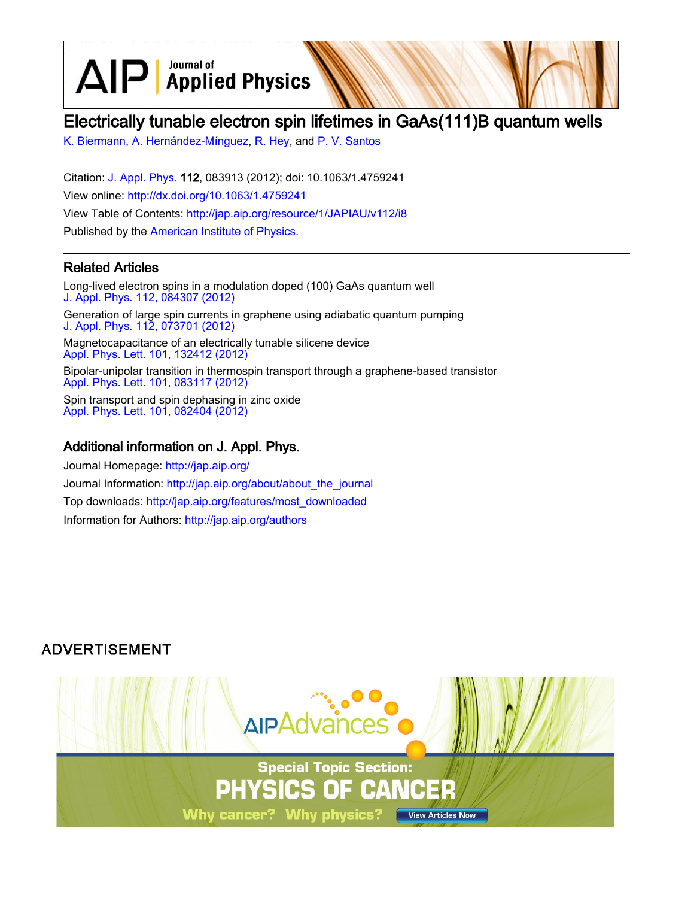$\text{AlP}$  Applied Physics

# Electrically tunable electron spin lifetimes in GaAs(111)B quantum wells

[K. Biermann,](http://jap.aip.org/search?sortby=newestdate&q=&searchzone=2&searchtype=searchin&faceted=faceted&key=AIP_ALL&possible1=K. Biermann&possible1zone=author&alias=&displayid=AIP&ver=pdfcov) [A. Hernández-Mínguez](http://jap.aip.org/search?sortby=newestdate&q=&searchzone=2&searchtype=searchin&faceted=faceted&key=AIP_ALL&possible1=A. Hern�ndez-M�nguez&possible1zone=author&alias=&displayid=AIP&ver=pdfcov), [R. Hey](http://jap.aip.org/search?sortby=newestdate&q=&searchzone=2&searchtype=searchin&faceted=faceted&key=AIP_ALL&possible1=R. Hey&possible1zone=author&alias=&displayid=AIP&ver=pdfcov), and [P. V. Santos](http://jap.aip.org/search?sortby=newestdate&q=&searchzone=2&searchtype=searchin&faceted=faceted&key=AIP_ALL&possible1=P. V. Santos&possible1zone=author&alias=&displayid=AIP&ver=pdfcov)

Citation: [J. Appl. Phys.](http://jap.aip.org/?ver=pdfcov) 112, 083913 (2012); doi: 10.1063/1.4759241 View online: [http://dx.doi.org/10.1063/1.4759241](http://link.aip.org/link/doi/10.1063/1.4759241?ver=pdfcov) View Table of Contents: [http://jap.aip.org/resource/1/JAPIAU/v112/i8](http://jap.aip.org/resource/1/JAPIAU/v112/i8?ver=pdfcov) Published by the [American Institute of Physics.](http://www.aip.org/?ver=pdfcov)

# Related Articles

Long-lived electron spins in a modulation doped (100) GaAs quantum well [J. Appl. Phys. 112, 084307 \(2012\)](http://link.aip.org/link/doi/10.1063/1.4759320?ver=pdfcov) Generation of large spin currents in graphene using adiabatic quantum pumping [J. Appl. Phys. 112, 073701 \(2012\)](http://link.aip.org/link/doi/10.1063/1.4754841?ver=pdfcov) Magnetocapacitance of an electrically tunable silicene device [Appl. Phys. Lett. 101, 132412 \(2012\)](http://link.aip.org/link/doi/10.1063/1.4754711?ver=pdfcov) Bipolar-unipolar transition in thermospin transport through a graphene-based transistor [Appl. Phys. Lett. 101, 083117 \(2012\)](http://link.aip.org/link/doi/10.1063/1.4748110?ver=pdfcov)

Spin transport and spin dephasing in zinc oxide [Appl. Phys. Lett. 101, 082404 \(2012\)](http://link.aip.org/link/doi/10.1063/1.4747321?ver=pdfcov)

## Additional information on J. Appl. Phys.

Journal Homepage: [http://jap.aip.org/](http://jap.aip.org/?ver=pdfcov) Journal Information: [http://jap.aip.org/about/about\\_the\\_journal](http://jap.aip.org/about/about_the_journal?ver=pdfcov) Top downloads: [http://jap.aip.org/features/most\\_downloaded](http://jap.aip.org/features/most_downloaded?ver=pdfcov) Information for Authors: [http://jap.aip.org/authors](http://jap.aip.org/authors?ver=pdfcov)

# **ADVERTISEMENT**

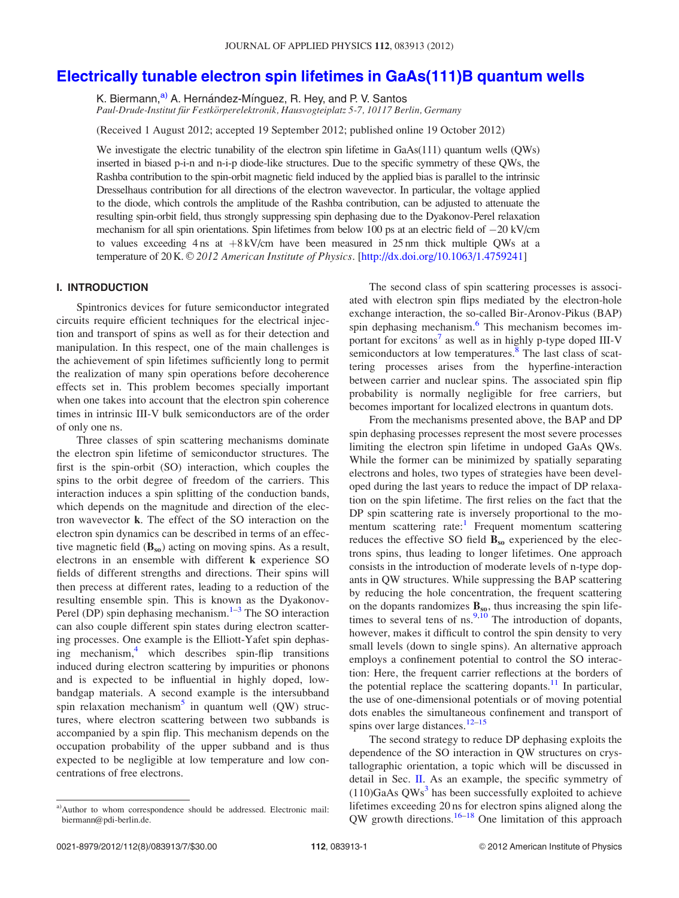# [Electrically tunable electron spin lifetimes in GaAs\(111\)B quantum wells](http://dx.doi.org/10.1063/1.4759241)

K. Biermann,<sup>a)</sup> A. Hernández-Mínguez, R. Hey, and P. V. Santos Paul-Drude-Institut für Festkörperelektronik, Hausvogteiplatz 5-7, 10117 Berlin, Germany

(Received 1 August 2012; accepted 19 September 2012; published online 19 October 2012)

We investigate the electric tunability of the electron spin lifetime in GaAs(111) quantum wells (QWs) inserted in biased p-i-n and n-i-p diode-like structures. Due to the specific symmetry of these QWs, the Rashba contribution to the spin-orbit magnetic field induced by the applied bias is parallel to the intrinsic Dresselhaus contribution for all directions of the electron wavevector. In particular, the voltage applied to the diode, which controls the amplitude of the Rashba contribution, can be adjusted to attenuate the resulting spin-orbit field, thus strongly suppressing spin dephasing due to the Dyakonov-Perel relaxation mechanism for all spin orientations. Spin lifetimes from below 100 ps at an electric field of  $-20$  kV/cm to values exceeding  $4 \text{ ns}$  at  $+8 \text{ kV/cm}$  have been measured in 25 nm thick multiple QWs at a temperature of 20 K. © 2012 American Institute of Physics. [[http://dx.doi.org/10.1063/1.4759241\]](http://dx.doi.org/10.1063/1.4759241)

### I. INTRODUCTION

Spintronics devices for future semiconductor integrated circuits require efficient techniques for the electrical injection and transport of spins as well as for their detection and manipulation. In this respect, one of the main challenges is the achievement of spin lifetimes sufficiently long to permit the realization of many spin operations before decoherence effects set in. This problem becomes specially important when one takes into account that the electron spin coherence times in intrinsic III-V bulk semiconductors are of the order of only one ns.

Three classes of spin scattering mechanisms dominate the electron spin lifetime of semiconductor structures. The first is the spin-orbit (SO) interaction, which couples the spins to the orbit degree of freedom of the carriers. This interaction induces a spin splitting of the conduction bands, which depends on the magnitude and direction of the electron wavevector k. The effect of the SO interaction on the electron spin dynamics can be described in terms of an effective magnetic field  $(B_{so})$  acting on moving spins. As a result, electrons in an ensemble with different k experience SO fields of different strengths and directions. Their spins will then precess at different rates, leading to a reduction of the resulting ensemble spin. This is known as the Dyakonov-Perel (DP) spin dephasing mechanism. $1-3$  The SO interaction can also couple different spin states during electron scattering processes. One example is the Elliott-Yafet spin dephas-ing mechanism,<sup>[4](#page-7-0)</sup> which describes spin-flip transitions induced during electron scattering by impurities or phonons and is expected to be influential in highly doped, lowbandgap materials. A second example is the intersubband spin relaxation mechanism<sup>[5](#page-7-0)</sup> in quantum well (QW) structures, where electron scattering between two subbands is accompanied by a spin flip. This mechanism depends on the occupation probability of the upper subband and is thus expected to be negligible at low temperature and low concentrations of free electrons.

The second class of spin scattering processes is associated with electron spin flips mediated by the electron-hole exchange interaction, the so-called Bir-Aronov-Pikus (BAP) spin dephasing mechanism.<sup>[6](#page-7-0)</sup> This mechanism becomes im-portant for excitons<sup>[7](#page-7-0)</sup> as well as in highly p-type doped III-V semiconductors at low temperatures.<sup>[8](#page-7-0)</sup> The last class of scattering processes arises from the hyperfine-interaction between carrier and nuclear spins. The associated spin flip probability is normally negligible for free carriers, but becomes important for localized electrons in quantum dots.

From the mechanisms presented above, the BAP and DP spin dephasing processes represent the most severe processes limiting the electron spin lifetime in undoped GaAs QWs. While the former can be minimized by spatially separating electrons and holes, two types of strategies have been developed during the last years to reduce the impact of DP relaxation on the spin lifetime. The first relies on the fact that the DP spin scattering rate is inversely proportional to the mo-mentum scattering rate:<sup>[1](#page-7-0)</sup> Frequent momentum scattering reduces the effective SO field  $B_{so}$  experienced by the electrons spins, thus leading to longer lifetimes. One approach consists in the introduction of moderate levels of n-type dopants in QW structures. While suppressing the BAP scattering by reducing the hole concentration, the frequent scattering on the dopants randomizes  $B_{so}$ , thus increasing the spin lifetimes to several tens of ns. $\frac{9,10}{9}$  $\frac{9,10}{9}$  $\frac{9,10}{9}$  The introduction of dopants, however, makes it difficult to control the spin density to very small levels (down to single spins). An alternative approach employs a confinement potential to control the SO interaction: Here, the frequent carrier reflections at the borders of the potential replace the scattering dopants.<sup>11</sup> In particular, the use of one-dimensional potentials or of moving potential dots enables the simultaneous confinement and transport of spins over large distances. $12-15$ 

The second strategy to reduce DP dephasing exploits the dependence of the SO interaction in QW structures on crystallographic orientation, a topic which will be discussed in detail in Sec. [II](#page-2-0). As an example, the specific symmetry of  $(110)GaAs QWs<sup>3</sup>$  $(110)GaAs QWs<sup>3</sup>$  $(110)GaAs QWs<sup>3</sup>$  has been successfully exploited to achieve lifetimes exceeding 20 ns for electron spins aligned along the QW growth directions.<sup>16–18</sup> One limitation of this approach

a)Author to whom correspondence should be addressed. Electronic mail: [biermann@pdi-berlin.de](mailto:biermann@pdi-berlin.de).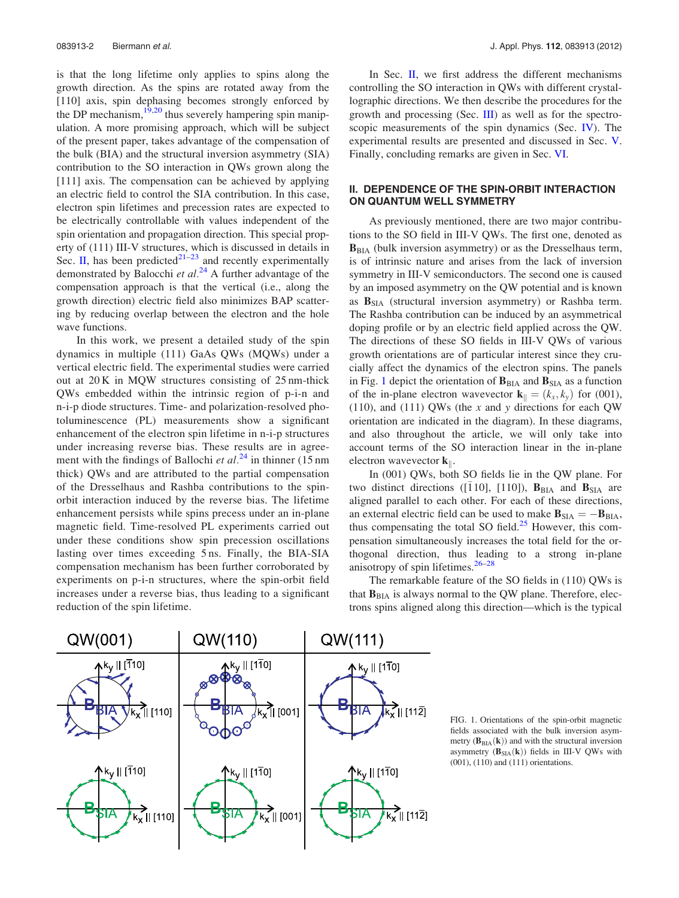<span id="page-2-0"></span>is that the long lifetime only applies to spins along the growth direction. As the spins are rotated away from the [110] axis, spin dephasing becomes strongly enforced by the DP mechanism,  $\frac{19,20}{2}$  $\frac{19,20}{2}$  $\frac{19,20}{2}$  thus severely hampering spin manipulation. A more promising approach, which will be subject of the present paper, takes advantage of the compensation of the bulk (BIA) and the structural inversion asymmetry (SIA) contribution to the SO interaction in QWs grown along the [111] axis. The compensation can be achieved by applying an electric field to control the SIA contribution. In this case, electron spin lifetimes and precession rates are expected to be electrically controllable with values independent of the spin orientation and propagation direction. This special property of (111) III-V structures, which is discussed in details in Sec. II, has been predicted<sup>[21](#page-7-0)–[23](#page-7-0)</sup> and recently experimentally demonstrated by Balocchi et  $al^{24}$  $al^{24}$  $al^{24}$  A further advantage of the compensation approach is that the vertical (i.e., along the growth direction) electric field also minimizes BAP scattering by reducing overlap between the electron and the hole wave functions.

In this work, we present a detailed study of the spin dynamics in multiple (111) GaAs QWs (MQWs) under a vertical electric field. The experimental studies were carried out at 20 K in MQW structures consisting of 25 nm-thick QWs embedded within the intrinsic region of p-i-n and n-i-p diode structures. Time- and polarization-resolved photoluminescence (PL) measurements show a significant enhancement of the electron spin lifetime in n-i-p structures under increasing reverse bias. These results are in agreement with the findings of Ballochi *et al.*<sup>[24](#page-7-0)</sup> in thinner (15 nm) thick) QWs and are attributed to the partial compensation of the Dresselhaus and Rashba contributions to the spinorbit interaction induced by the reverse bias. The lifetime enhancement persists while spins precess under an in-plane magnetic field. Time-resolved PL experiments carried out under these conditions show spin precession oscillations lasting over times exceeding 5 ns. Finally, the BIA-SIA compensation mechanism has been further corroborated by experiments on p-i-n structures, where the spin-orbit field increases under a reverse bias, thus leading to a significant reduction of the spin lifetime.

In Sec.  $II$ , we first address the different mechanisms controlling the SO interaction in QWs with different crystallographic directions. We then describe the procedures for the growth and processing (Sec. [III\)](#page-3-0) as well as for the spectroscopic measurements of the spin dynamics (Sec. *). The* experimental results are presented and discussed in Sec. [V](#page-4-0). Finally, concluding remarks are given in Sec. [VI](#page-6-0).

### II. DEPENDENCE OF THE SPIN-ORBIT INTERACTION ON QUANTUM WELL SYMMETRY

As previously mentioned, there are two major contributions to the SO field in III-V QWs. The first one, denoted as  $B<sub>BIA</sub>$  (bulk inversion asymmetry) or as the Dresselhaus term, is of intrinsic nature and arises from the lack of inversion symmetry in III-V semiconductors. The second one is caused by an imposed asymmetry on the QW potential and is known as  $\mathbf{B}_{\text{SIA}}$  (structural inversion asymmetry) or Rashba term. The Rashba contribution can be induced by an asymmetrical doping profile or by an electric field applied across the QW. The directions of these SO fields in III-V QWs of various growth orientations are of particular interest since they crucially affect the dynamics of the electron spins. The panels in Fig. 1 depict the orientation of  $\mathbf{B}_{\text{BIA}}$  and  $\mathbf{B}_{\text{SIA}}$  as a function of the in-plane electron wavevector  $\mathbf{k}_{\parallel} = (k_x, k_y)$  for (001), (110), and (111) QWs (the  $x$  and  $y$  directions for each QW orientation are indicated in the diagram). In these diagrams, and also throughout the article, we will only take into account terms of the SO interaction linear in the in-plane electron wavevector  $\mathbf{k}_{\parallel}$ .

In (001) QWs, both SO fields lie in the QW plane. For two distinct directions ([110], [110]),  $\mathbf{B}_{\text{BIA}}$  and  $\mathbf{B}_{\text{SIA}}$  are aligned parallel to each other. For each of these directions, an external electric field can be used to make  $\mathbf{B}_{\text{SIA}} = -\mathbf{B}_{\text{BIA}}$ , thus compensating the total SO field. $25$  However, this compensation simultaneously increases the total field for the orthogonal direction, thus leading to a strong in-plane anisotropy of spin lifetimes. $26-28$  $26-28$  $26-28$ 

The remarkable feature of the SO fields in (110) QWs is that  $B<sub>BIA</sub>$  is always normal to the QW plane. Therefore, electrons spins aligned along this direction—which is the typical



FIG. 1. Orientations of the spin-orbit magnetic fields associated with the bulk inversion asymmetry  $(B<sub>BIA</sub>(k))$  and with the structural inversion asymmetry  $(B_{SIA}(k))$  fields in III-V QWs with (001), (110) and (111) orientations.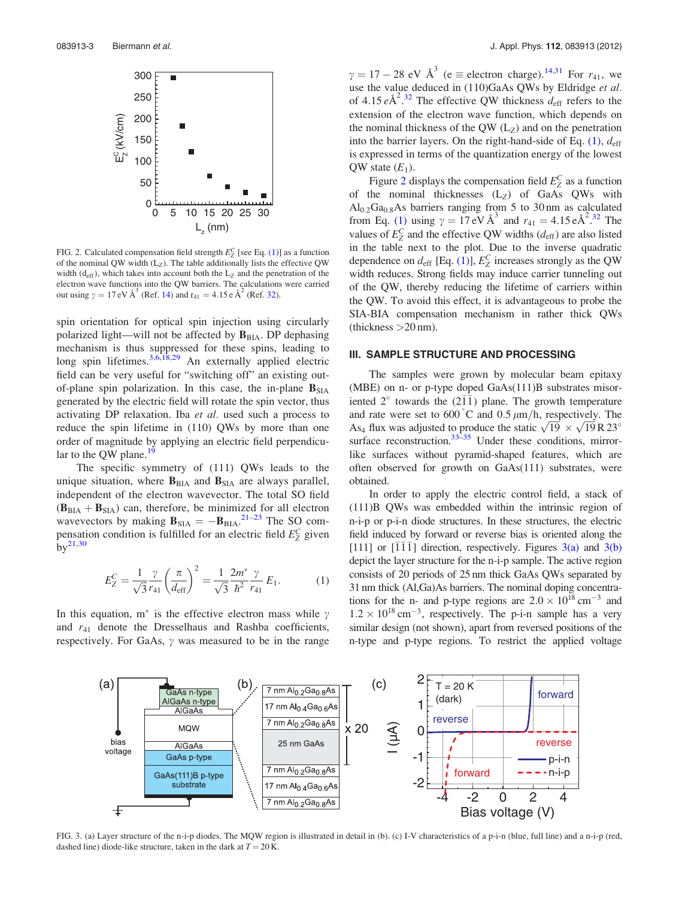<span id="page-3-0"></span>

FIG. 2. Calculated compensation field strength  $E_Z^C$  [see Eq. (1)] as a function of the nominal QW width  $(L_Z)$ . The table additionally lists the effective QW width ( $d_{\text{eff}}$ ), which takes into account both the  $L_z$  and the penetration of the electron wave functions into the QW barriers. The calculations were carried out using  $\gamma = 17 \text{ eV} \text{ Å}^3$  (Ref. [14\)](#page-7-0) and  $r_{41} = 4.15 \text{ eA}^2$  (Ref. [32\)](#page-7-0).

spin orientation for optical spin injection using circularly polarized light—will not be affected by  $B<sub>BIA</sub>$ . DP dephasing mechanism is thus suppressed for these spins, leading to long spin lifetimes.  $3,6,18,29$  An externally applied electric field can be very useful for "switching off" an existing outof-plane spin polarization. In this case, the in-plane  $B<sub>SIA</sub>$ generated by the electric field will rotate the spin vector, thus activating DP relaxation. Iba et al. used such a process to reduce the spin lifetime in (110) QWs by more than one order of magnitude by applying an electric field perpendicular to the QW plane. $\frac{1}{2}$ 

The specific symmetry of (111) QWs leads to the unique situation, where  $B<sub>BIA</sub>$  and  $B<sub>SIA</sub>$  are always parallel, independent of the electron wavevector. The total SO field  $(B<sub>BIA</sub> + B<sub>SIA</sub>)$  can, therefore, be minimized for all electron wavevectors by making  $B_{\text{SIA}} = -B_{\text{BIA}}$ . The SO compensation condition is fulfilled for an electric field  $E_Z^C$  given  $by<sup>21,30</sup>$  $by<sup>21,30</sup>$  $by<sup>21,30</sup>$ 

$$
E_Z^C = \frac{1}{\sqrt{3}} \frac{\gamma}{r_{41}} \left(\frac{\pi}{d_{\text{eff}}}\right)^2 = \frac{1}{\sqrt{3}} \frac{2m^*}{\hbar^2} \frac{\gamma}{r_{41}} E_1.
$$
 (1)

In this equation,  $m^*$  is the effective electron mass while  $\gamma$ and  $r_{41}$  denote the Dresselhaus and Rashba coefficients, respectively. For GaAs,  $\gamma$  was measured to be in the range

 $\gamma = 17 - 28$  eV  $\text{\AA}^3$  (e  $\equiv$  electron charge).<sup>[14,31](#page-7-0)</sup> For  $r_{41}$ , we use the value deduced in (110)GaAs QWs by Eldridge et al. of 4.15  $e^{\hat{A}^2}$ .<sup>[32](#page-7-0)</sup> The effective QW thickness  $d_{eff}$  refers to the extension of the electron wave function, which depends on the nominal thickness of the QW  $(L_Z)$  and on the penetration into the barrier layers. On the right-hand-side of Eq.  $(1)$ ,  $d_{\text{eff}}$ is expressed in terms of the quantization energy of the lowest QW state  $(E_1)$ .

Figure 2 displays the compensation field  $E_Z^C$  as a function of the nominal thicknesses  $(L_Z)$  of GaAs QWs with  $\text{Al}_{0.2}\text{Ga}_{0.8}\text{As}$  barriers ranging from 5 to 30 nm as calculated from Eq. (1) using  $\gamma = 17 \text{ eV} \text{ Å}^3$  and  $r_{41} = 4.15 \text{ eA}^2$ .<sup>[32](#page-7-0)</sup> The values of  $E_Z^C$  and the effective QW widths ( $d_{\text{eff}}$ ) are also listed in the table next to the plot. Due to the inverse quadratic dependence on  $d_{\text{eff}}$  [Eq. (1)],  $E_Z^C$  increases strongly as the QW width reduces. Strong fields may induce carrier tunneling out of the QW, thereby reducing the lifetime of carriers within the QW. To avoid this effect, it is advantageous to probe the SIA-BIA compensation mechanism in rather thick QWs (thickness  $>20$  nm).

#### III. SAMPLE STRUCTURE AND PROCESSING

The samples were grown by molecular beam epitaxy (MBE) on n- or p-type doped GaAs(111)B substrates misoriented  $2^{\circ}$  towards the (211) plane. The growth temperature and rate were set to  $600^{\degree}$ C and  $0.5 \ \mu m/h$ , respectively. The and rate were set to object and 0.5  $\mu$ m/n, respectively. The As<sub>4</sub> flux was adjusted to produce the static  $\sqrt{19} \times \sqrt{19}$  R 23<sup>o</sup> surface reconstruction. $33-35$  Under these conditions, mirrorlike surfaces without pyramid-shaped features, which are often observed for growth on GaAs(111) substrates, were obtained.

In order to apply the electric control field, a stack of (111)B QWs was embedded within the intrinsic region of n-i-p or p-i-n diode structures. In these structures, the electric field induced by forward or reverse bias is oriented along the [111] or  $[111]$  direction, respectively. Figures  $3(a)$  and  $3(b)$ depict the layer structure for the n-i-p sample. The active region consists of 20 periods of 25 nm thick GaAs QWs separated by 31 nm thick (Al,Ga)As barriers. The nominal doping concentrations for the n- and p-type regions are  $2.0 \times 10^{18}$  cm<sup>-3</sup> and  $1.2 \times 10^{18}$  cm<sup>-3</sup>, respectively. The p-i-n sample has a very similar design (not shown), apart from reversed positions of the n-type and p-type regions. To restrict the applied voltage



FIG. 3. (a) Layer structure of the n-i-p diodes. The MQW region is illustrated in detail in (b). (c) I-V characteristics of a p-i-n (blue, full line) and a n-i-p (red, dashed line) diode-like structure, taken in the dark at  $T = 20$  K.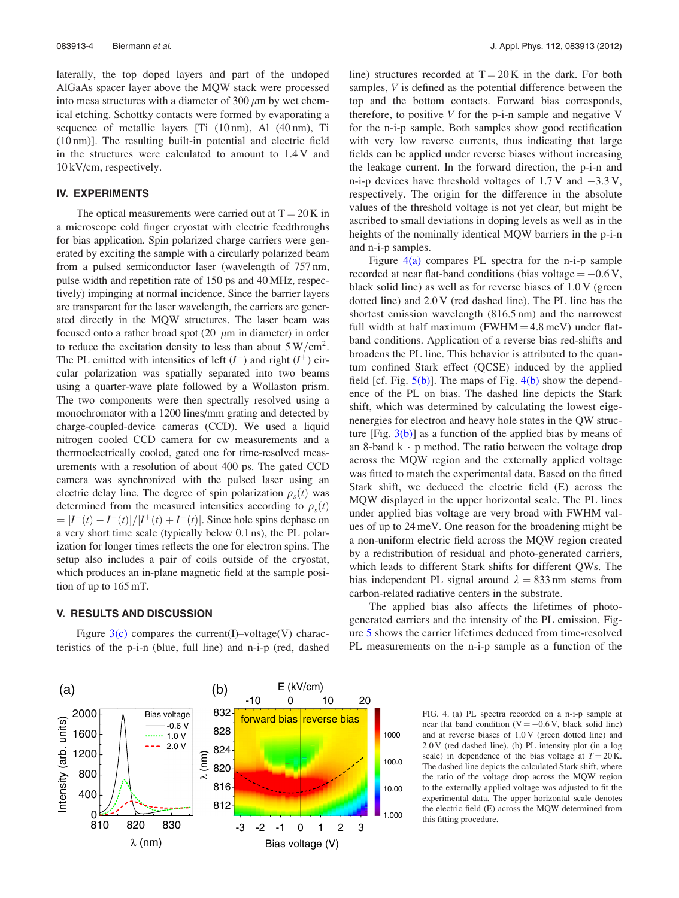<span id="page-4-0"></span>laterally, the top doped layers and part of the undoped AlGaAs spacer layer above the MQW stack were processed into mesa structures with a diameter of  $300 \mu m$  by wet chemical etching. Schottky contacts were formed by evaporating a sequence of metallic layers [Ti (10 nm), Al (40 nm), Ti (10 nm)]. The resulting built-in potential and electric field in the structures were calculated to amount to 1.4 V and 10 kV/cm, respectively.

### IV. EXPERIMENTS

The optical measurements were carried out at  $T = 20$  K in a microscope cold finger cryostat with electric feedthroughs for bias application. Spin polarized charge carriers were generated by exciting the sample with a circularly polarized beam from a pulsed semiconductor laser (wavelength of 757 nm, pulse width and repetition rate of 150 ps and 40 MHz, respectively) impinging at normal incidence. Since the barrier layers are transparent for the laser wavelength, the carriers are generated directly in the MQW structures. The laser beam was focused onto a rather broad spot  $(20 \mu m)$  in diameter) in order to reduce the excitation density to less than about  $5 W/cm<sup>2</sup>$ . The PL emitted with intensities of left  $(I^-)$  and right  $(I^+)$  circular polarization was spatially separated into two beams using a quarter-wave plate followed by a Wollaston prism. The two components were then spectrally resolved using a monochromator with a 1200 lines/mm grating and detected by charge-coupled-device cameras (CCD). We used a liquid nitrogen cooled CCD camera for cw measurements and a thermoelectrically cooled, gated one for time-resolved measurements with a resolution of about 400 ps. The gated CCD camera was synchronized with the pulsed laser using an electric delay line. The degree of spin polarization  $\rho_s(t)$  was determined from the measured intensities according to  $\rho_s(t)$  $= [I^+(t) - I^-(t)]/[I^+(t) + I^-(t)].$  Since hole spins dephase on a very short time scale (typically below 0.1 ns), the PL polarization for longer times reflects the one for electron spins. The setup also includes a pair of coils outside of the cryostat, which produces an in-plane magnetic field at the sample position of up to 165 mT.

### V. RESULTS AND DISCUSSION

Figure  $3(c)$  compares the current(I)–voltage(V) characteristics of the p-i-n (blue, full line) and n-i-p (red, dashed line) structures recorded at  $T = 20$  K in the dark. For both samples, V is defined as the potential difference between the top and the bottom contacts. Forward bias corresponds, therefore, to positive  $V$  for the p-i-n sample and negative  $V$ for the n-i-p sample. Both samples show good rectification with very low reverse currents, thus indicating that large fields can be applied under reverse biases without increasing the leakage current. In the forward direction, the p-i-n and n-i-p devices have threshold voltages of  $1.7 \text{ V}$  and  $-3.3 \text{ V}$ , respectively. The origin for the difference in the absolute values of the threshold voltage is not yet clear, but might be ascribed to small deviations in doping levels as well as in the heights of the nominally identical MQW barriers in the p-i-n and n-i-p samples.

Figure 4(a) compares PL spectra for the n-i-p sample recorded at near flat-band conditions (bias voltage  $= -0.6$  V, black solid line) as well as for reverse biases of 1.0 V (green dotted line) and 2.0 V (red dashed line). The PL line has the shortest emission wavelength (816.5 nm) and the narrowest full width at half maximum (FWHM  $=$  4.8 meV) under flatband conditions. Application of a reverse bias red-shifts and broadens the PL line. This behavior is attributed to the quantum confined Stark effect (QCSE) induced by the applied field [cf. Fig.  $5(b)$ ]. The maps of Fig.  $4(b)$  show the dependence of the PL on bias. The dashed line depicts the Stark shift, which was determined by calculating the lowest eigenenergies for electron and heavy hole states in the QW structure [Fig.  $3(b)$ ] as a function of the applied bias by means of an 8-band  $k \cdot p$  method. The ratio between the voltage drop across the MQW region and the externally applied voltage was fitted to match the experimental data. Based on the fitted Stark shift, we deduced the electric field (E) across the MQW displayed in the upper horizontal scale. The PL lines under applied bias voltage are very broad with FWHM values of up to 24 meV. One reason for the broadening might be a non-uniform electric field across the MQW region created by a redistribution of residual and photo-generated carriers, which leads to different Stark shifts for different QWs. The bias independent PL signal around  $\lambda = 833$  nm stems from carbon-related radiative centers in the substrate.

The applied bias also affects the lifetimes of photogenerated carriers and the intensity of the PL emission. Figure [5](#page-5-0) shows the carrier lifetimes deduced from time-resolved PL measurements on the n-i-p sample as a function of the

> FIG. 4. (a) PL spectra recorded on a n-i-p sample at near flat band condition  $(V = -0.6 V$ , black solid line) and at reverse biases of 1.0 V (green dotted line) and 2.0 V (red dashed line). (b) PL intensity plot (in a log scale) in dependence of the bias voltage at  $T = 20$  K. The dashed line depicts the calculated Stark shift, where the ratio of the voltage drop across the MQW region to the externally applied voltage was adjusted to fit the experimental data. The upper horizontal scale denotes the electric field (E) across the MQW determined from this fitting procedure.

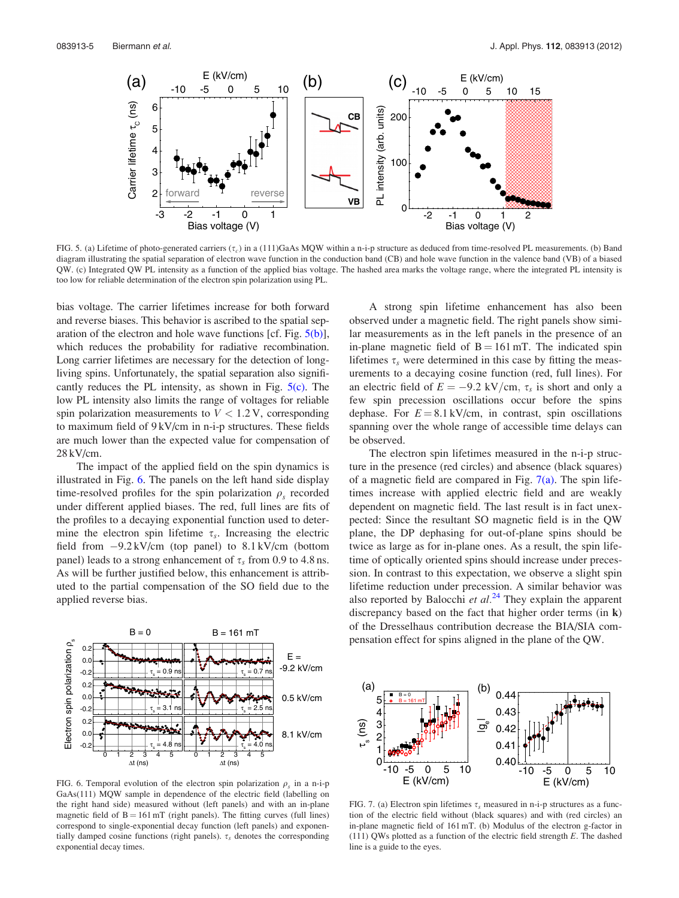<span id="page-5-0"></span>

FIG. 5. (a) Lifetime of photo-generated carriers  $(\tau_c)$  in a (111)GaAs MQW within a n-i-p structure as deduced from time-resolved PL measurements. (b) Band diagram illustrating the spatial separation of electron wave function in the conduction band (CB) and hole wave function in the valence band (VB) of a biased QW. (c) Integrated QW PL intensity as a function of the applied bias voltage. The hashed area marks the voltage range, where the integrated PL intensity is too low for reliable determination of the electron spin polarization using PL.

bias voltage. The carrier lifetimes increase for both forward and reverse biases. This behavior is ascribed to the spatial separation of the electron and hole wave functions [cf. Fig.  $5(b)$ ], which reduces the probability for radiative recombination. Long carrier lifetimes are necessary for the detection of longliving spins. Unfortunately, the spatial separation also significantly reduces the PL intensity, as shown in Fig.  $5(c)$ . The low PL intensity also limits the range of voltages for reliable spin polarization measurements to  $V < 1.2$  V, corresponding to maximum field of 9 kV/cm in n-i-p structures. These fields are much lower than the expected value for compensation of 28 kV/cm.

The impact of the applied field on the spin dynamics is illustrated in Fig. 6. The panels on the left hand side display time-resolved profiles for the spin polarization  $\rho_s$  recorded under different applied biases. The red, full lines are fits of the profiles to a decaying exponential function used to determine the electron spin lifetime  $\tau_s$ . Increasing the electric field from -9.2 kV/cm (top panel) to 8.1 kV/cm (bottom panel) leads to a strong enhancement of  $\tau_s$  from 0.9 to 4.8 ns. As will be further justified below, this enhancement is attributed to the partial compensation of the SO field due to the applied reverse bias.



FIG. 6. Temporal evolution of the electron spin polarization  $\rho_s$  in a n-i-p GaAs(111) MQW sample in dependence of the electric field (labelling on the right hand side) measured without (left panels) and with an in-plane magnetic field of  $B = 161 \text{ mT}$  (right panels). The fitting curves (full lines) correspond to single-exponential decay function (left panels) and exponentially damped cosine functions (right panels).  $\tau_s$  denotes the corresponding exponential decay times.

A strong spin lifetime enhancement has also been observed under a magnetic field. The right panels show similar measurements as in the left panels in the presence of an in-plane magnetic field of  $B = 161$  mT. The indicated spin lifetimes  $\tau_s$  were determined in this case by fitting the measurements to a decaying cosine function (red, full lines). For an electric field of  $E = -9.2 \text{ kV/cm}, \tau_s$  is short and only a few spin precession oscillations occur before the spins dephase. For  $E = 8.1 \text{ kV/cm}$ , in contrast, spin oscillations spanning over the whole range of accessible time delays can be observed.

The electron spin lifetimes measured in the n-i-p structure in the presence (red circles) and absence (black squares) of a magnetic field are compared in Fig.  $7(a)$ . The spin lifetimes increase with applied electric field and are weakly dependent on magnetic field. The last result is in fact unexpected: Since the resultant SO magnetic field is in the QW plane, the DP dephasing for out-of-plane spins should be twice as large as for in-plane ones. As a result, the spin lifetime of optically oriented spins should increase under precession. In contrast to this expectation, we observe a slight spin lifetime reduction under precession. A similar behavior was also reported by Balocchi et  $al.^{24}$  $al.^{24}$  $al.^{24}$  They explain the apparent discrepancy based on the fact that higher order terms (in k) of the Dresselhaus contribution decrease the BIA/SIA compensation effect for spins aligned in the plane of the QW.



FIG. 7. (a) Electron spin lifetimes  $\tau_s$  measured in n-i-p structures as a function of the electric field without (black squares) and with (red circles) an in-plane magnetic field of 161 mT. (b) Modulus of the electron g-factor in (111) QWs plotted as a function of the electric field strength  $E$ . The dashed line is a guide to the eyes.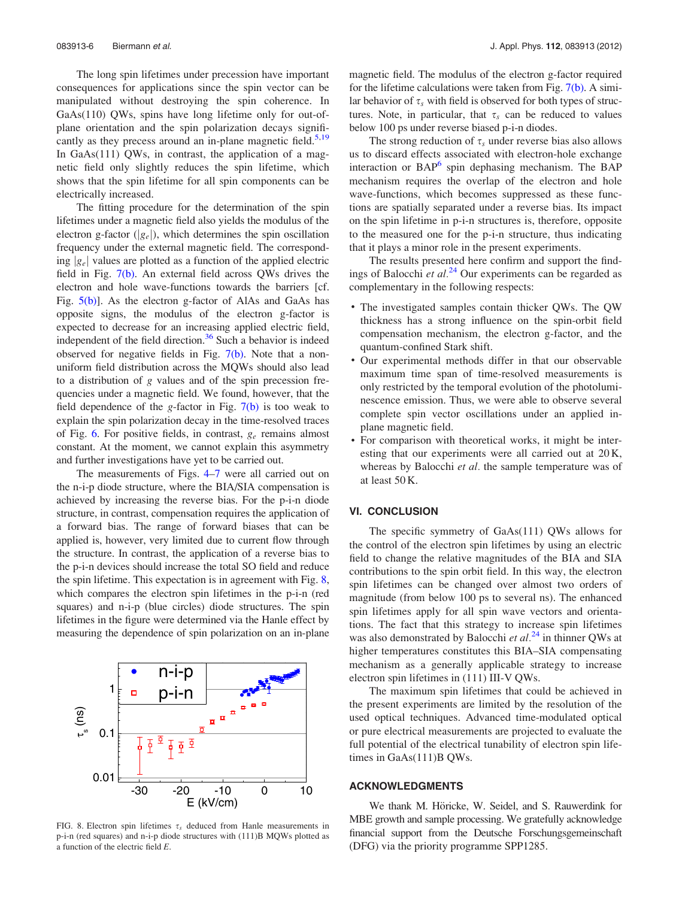<span id="page-6-0"></span>The long spin lifetimes under precession have important consequences for applications since the spin vector can be manipulated without destroying the spin coherence. In GaAs(110) QWs, spins have long lifetime only for out-ofplane orientation and the spin polarization decays signifi-cantly as they precess around an in-plane magnetic field.<sup>[5,19](#page-7-0)</sup> In GaAs(111) QWs, in contrast, the application of a magnetic field only slightly reduces the spin lifetime, which shows that the spin lifetime for all spin components can be electrically increased.

The fitting procedure for the determination of the spin lifetimes under a magnetic field also yields the modulus of the electron g-factor  $(|g_e|)$ , which determines the spin oscillation frequency under the external magnetic field. The corresponding  $|g_e|$  values are plotted as a function of the applied electric field in Fig. [7\(b\)](#page-5-0). An external field across QWs drives the electron and hole wave-functions towards the barriers [cf. Fig. [5\(b\)](#page-5-0)]. As the electron g-factor of AlAs and GaAs has opposite signs, the modulus of the electron g-factor is expected to decrease for an increasing applied electric field, independent of the field direction. $36$  Such a behavior is indeed observed for negative fields in Fig.  $7(b)$ . Note that a nonuniform field distribution across the MQWs should also lead to a distribution of g values and of the spin precession frequencies under a magnetic field. We found, however, that the field dependence of the g-factor in Fig.  $7(b)$  is too weak to explain the spin polarization decay in the time-resolved traces of Fig. [6](#page-5-0). For positive fields, in contrast,  $g_e$  remains almost constant. At the moment, we cannot explain this asymmetry and further investigations have yet to be carried out.

The measurements of Figs. [4–](#page-4-0)[7](#page-5-0) were all carried out on the n-i-p diode structure, where the BIA/SIA compensation is achieved by increasing the reverse bias. For the p-i-n diode structure, in contrast, compensation requires the application of a forward bias. The range of forward biases that can be applied is, however, very limited due to current flow through the structure. In contrast, the application of a reverse bias to the p-i-n devices should increase the total SO field and reduce the spin lifetime. This expectation is in agreement with Fig. 8, which compares the electron spin lifetimes in the p-i-n (red squares) and n-i-p (blue circles) diode structures. The spin lifetimes in the figure were determined via the Hanle effect by measuring the dependence of spin polarization on an in-plane



FIG. 8. Electron spin lifetimes  $\tau_s$  deduced from Hanle measurements in p-i-n (red squares) and n-i-p diode structures with (111)B MQWs plotted as a function of the electric field E.

magnetic field. The modulus of the electron g-factor required for the lifetime calculations were taken from Fig. [7\(b\)](#page-5-0). A similar behavior of  $\tau_s$  with field is observed for both types of structures. Note, in particular, that  $\tau_s$  can be reduced to values below 100 ps under reverse biased p-i-n diodes.

The strong reduction of  $\tau_s$  under reverse bias also allows us to discard effects associated with electron-hole exchange interaction or  $BAP<sup>6</sup>$  $BAP<sup>6</sup>$  $BAP<sup>6</sup>$  spin dephasing mechanism. The  $BAP$ mechanism requires the overlap of the electron and hole wave-functions, which becomes suppressed as these functions are spatially separated under a reverse bias. Its impact on the spin lifetime in p-i-n structures is, therefore, opposite to the measured one for the p-i-n structure, thus indicating that it plays a minor role in the present experiments.

The results presented here confirm and support the findings of Balocchi et  $al.^{24}$  $al.^{24}$  $al.^{24}$  Our experiments can be regarded as complementary in the following respects:

- The investigated samples contain thicker QWs. The QW thickness has a strong influence on the spin-orbit field compensation mechanism, the electron g-factor, and the quantum-confined Stark shift.
- Our experimental methods differ in that our observable maximum time span of time-resolved measurements is only restricted by the temporal evolution of the photoluminescence emission. Thus, we were able to observe several complete spin vector oscillations under an applied inplane magnetic field.
- For comparison with theoretical works, it might be interesting that our experiments were all carried out at 20 K, whereas by Balocchi *et al.* the sample temperature was of at least 50 K.

#### VI. CONCLUSION

The specific symmetry of GaAs(111) QWs allows for the control of the electron spin lifetimes by using an electric field to change the relative magnitudes of the BIA and SIA contributions to the spin orbit field. In this way, the electron spin lifetimes can be changed over almost two orders of magnitude (from below 100 ps to several ns). The enhanced spin lifetimes apply for all spin wave vectors and orientations. The fact that this strategy to increase spin lifetimes was also demonstrated by Balocchi et  $al.^{24}$  $al.^{24}$  $al.^{24}$  in thinner QWs at higher temperatures constitutes this BIA–SIA compensating mechanism as a generally applicable strategy to increase electron spin lifetimes in (111) III-V QWs.

The maximum spin lifetimes that could be achieved in the present experiments are limited by the resolution of the used optical techniques. Advanced time-modulated optical or pure electrical measurements are projected to evaluate the full potential of the electrical tunability of electron spin lifetimes in GaAs(111)B QWs.

#### ACKNOWLEDGMENTS

We thank M. Höricke, W. Seidel, and S. Rauwerdink for MBE growth and sample processing. We gratefully acknowledge financial support from the Deutsche Forschungsgemeinschaft (DFG) via the priority programme SPP1285.